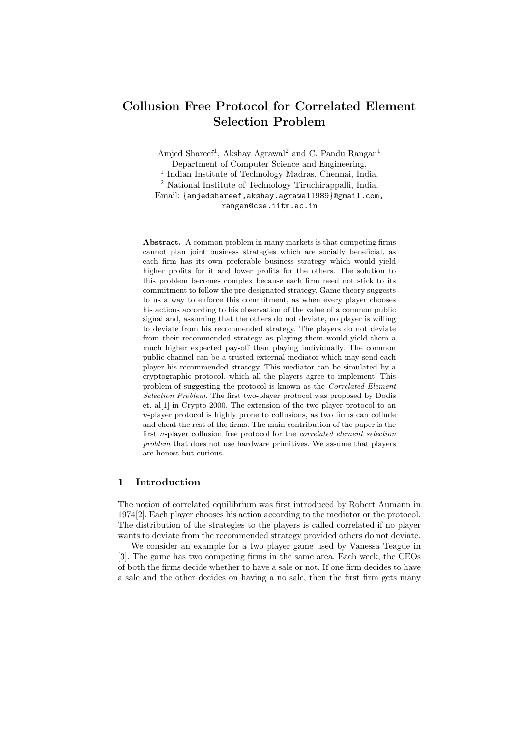# Collusion Free Protocol for Correlated Element Selection Problem

Amjed Shareef<sup>1</sup>, Akshay Agrawal<sup>2</sup> and C. Pandu Rangan<sup>1</sup> Department of Computer Science and Engineering, 1 Indian Institute of Technology Madras, Chennai, India. <sup>2</sup> National Institute of Technology Tiruchirappalli, India. Email: {amjedshareef,akshay.agrawal1989}@gmail.com, rangan@cse.iitm.ac.in

Abstract. A common problem in many markets is that competing firms cannot plan joint business strategies which are socially beneficial, as each firm has its own preferable business strategy which would yield higher profits for it and lower profits for the others. The solution to this problem becomes complex because each firm need not stick to its commitment to follow the pre-designated strategy. Game theory suggests to us a way to enforce this commitment, as when every player chooses his actions according to his observation of the value of a common public signal and, assuming that the others do not deviate, no player is willing to deviate from his recommended strategy. The players do not deviate from their recommended strategy as playing them would yield them a much higher expected pay-off than playing individually. The common public channel can be a trusted external mediator which may send each player his recommended strategy. This mediator can be simulated by a cryptographic protocol, which all the players agree to implement. This problem of suggesting the protocol is known as the Correlated Element Selection Problem. The first two-player protocol was proposed by Dodis et. al[1] in Crypto 2000. The extension of the two-player protocol to an n-player protocol is highly prone to collusions, as two firms can collude and cheat the rest of the firms. The main contribution of the paper is the first n-player collusion free protocol for the correlated element selection problem that does not use hardware primitives. We assume that players are honest but curious.

# 1 Introduction

The notion of correlated equilibrium was first introduced by Robert Aumann in 1974[2]. Each player chooses his action according to the mediator or the protocol. The distribution of the strategies to the players is called correlated if no player wants to deviate from the recommended strategy provided others do not deviate.

We consider an example for a two player game used by Vanessa Teague in [3]. The game has two competing firms in the same area. Each week, the CEOs of both the firms decide whether to have a sale or not. If one firm decides to have a sale and the other decides on having a no sale, then the first firm gets many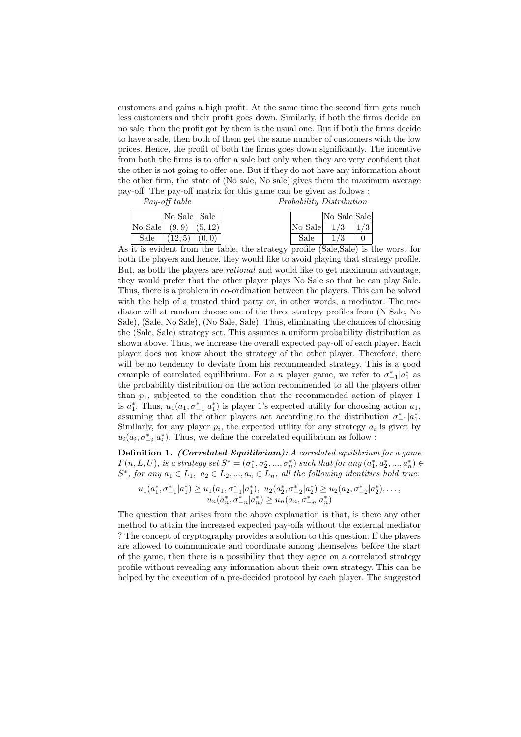customers and gains a high profit. At the same time the second firm gets much less customers and their profit goes down. Similarly, if both the firms decide on no sale, then the profit got by them is the usual one. But if both the firms decide to have a sale, then both of them get the same number of customers with the low prices. Hence, the profit of both the firms goes down significantly. The incentive from both the firms is to offer a sale but only when they are very confident that the other is not going to offer one. But if they do not have any information about the other firm, the state of (No sale, No sale) gives them the maximum average pay-off. The pay-off matrix for this game can be given as follows :

Pay-off table Probability Distribution

|      | No Sale Sale             |  |         | No Sale Sale |                   |
|------|--------------------------|--|---------|--------------|-------------------|
|      | No Sale $(9,9)$ $(5,12)$ |  | No Sale | 1/3          | $\vert 1/3 \vert$ |
| Sale | $(12,5)$ $(0,0)$         |  | Sale    |              |                   |

As it is evident from the table, the strategy profile (Sale,Sale) is the worst for both the players and hence, they would like to avoid playing that strategy profile. But, as both the players are rational and would like to get maximum advantage, they would prefer that the other player plays No Sale so that he can play Sale. Thus, there is a problem in co-ordination between the players. This can be solved with the help of a trusted third party or, in other words, a mediator. The mediator will at random choose one of the three strategy profiles from (N Sale, No Sale), (Sale, No Sale), (No Sale, Sale). Thus, eliminating the chances of choosing the (Sale, Sale) strategy set. This assumes a uniform probability distribution as shown above. Thus, we increase the overall expected pay-off of each player. Each player does not know about the strategy of the other player. Therefore, there will be no tendency to deviate from his recommended strategy. This is a good example of correlated equilibrium. For a *n* player game, we refer to  $\sigma_{-1}^*|a_1^*$  as the probability distribution on the action recommended to all the players other than  $p_1$ , subjected to the condition that the recommended action of player 1 is  $a_1^*$ . Thus,  $u_1(a_1, \sigma_{-1}^* | a_1^*)$  is player 1's expected utility for choosing action  $a_1$ , assuming that all the other players act according to the distribution  $\sigma_{-1}^* | a_1^*$ . Similarly, for any player  $p_i$ , the expected utility for any strategy  $a_i$  is given by  $u_i(a_i, \sigma_{-i}^* | a_i^*)$ . Thus, we define the correlated equilibrium as follow :

Definition 1. (Correlated Equilibrium): A correlated equilibrium for a game  $\Gamma(n, L, U)$ , is a strategy set  $S^* = (\sigma_1^*, \sigma_2^*, ..., \sigma_n^*)$  such that for any  $(a_1^*, a_2^*, ..., a_n^*) \in$  $S^*$ , for any  $a_1 \in L_1$ ,  $a_2 \in L_2$ , ...,  $a_n \in L_n$ , all the following identities hold true:

$$
u_1(a_1^*, \sigma_{-1}^* | a_1^*) \geq u_1(a_1, \sigma_{-1}^* | a_1^*), u_2(a_2^*, \sigma_{-2}^* | a_2^*) \geq u_2(a_2, \sigma_{-2}^* | a_2^*), \dots, u_n(a_n^*, \sigma_{-n}^* | a_n^*) \geq u_n(a_n, \sigma_{-n}^* | a_n^*)
$$

The question that arises from the above explanation is that, is there any other method to attain the increased expected pay-offs without the external mediator ? The concept of cryptography provides a solution to this question. If the players are allowed to communicate and coordinate among themselves before the start of the game, then there is a possibility that they agree on a correlated strategy profile without revealing any information about their own strategy. This can be helped by the execution of a pre-decided protocol by each player. The suggested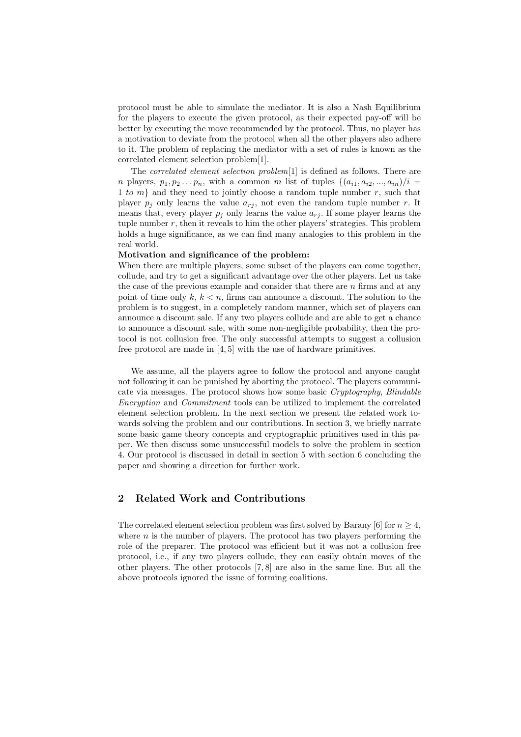protocol must be able to simulate the mediator. It is also a Nash Equilibrium for the players to execute the given protocol, as their expected pay-off will be better by executing the move recommended by the protocol. Thus, no player has a motivation to deviate from the protocol when all the other players also adhere to it. The problem of replacing the mediator with a set of rules is known as the correlated element selection problem[1].

The correlated element selection problem[1] is defined as follows. There are *n* players,  $p_1, p_2 \ldots p_n$ , with a common *m* list of tuples  $\{(a_{i1}, a_{i2}, \ldots, a_{in})/i =$ 1 to  $m$ } and they need to jointly choose a random tuple number r, such that player  $p_i$  only learns the value  $a_{ri}$ , not even the random tuple number r. It means that, every player  $p_i$  only learns the value  $a_{r_i}$ . If some player learns the tuple number  $r$ , then it reveals to him the other players' strategies. This problem holds a huge significance, as we can find many analogies to this problem in the real world.

### Motivation and significance of the problem:

When there are multiple players, some subset of the players can come together, collude, and try to get a significant advantage over the other players. Let us take the case of the previous example and consider that there are  $n$  firms and at any point of time only  $k, k < n$ , firms can announce a discount. The solution to the problem is to suggest, in a completely random manner, which set of players can announce a discount sale. If any two players collude and are able to get a chance to announce a discount sale, with some non-negligible probability, then the protocol is not collusion free. The only successful attempts to suggest a collusion free protocol are made in [4, 5] with the use of hardware primitives.

We assume, all the players agree to follow the protocol and anyone caught not following it can be punished by aborting the protocol. The players communicate via messages. The protocol shows how some basic Cryptography, Blindable Encryption and Commitment tools can be utilized to implement the correlated element selection problem. In the next section we present the related work towards solving the problem and our contributions. In section 3, we briefly narrate some basic game theory concepts and cryptographic primitives used in this paper. We then discuss some unsuccessful models to solve the problem in section 4. Our protocol is discussed in detail in section 5 with section 6 concluding the paper and showing a direction for further work.

# 2 Related Work and Contributions

The correlated element selection problem was first solved by Barany [6] for  $n \geq 4$ , where  $n$  is the number of players. The protocol has two players performing the role of the preparer. The protocol was efficient but it was not a collusion free protocol, i.e., if any two players collude, they can easily obtain moves of the other players. The other protocols [7, 8] are also in the same line. But all the above protocols ignored the issue of forming coalitions.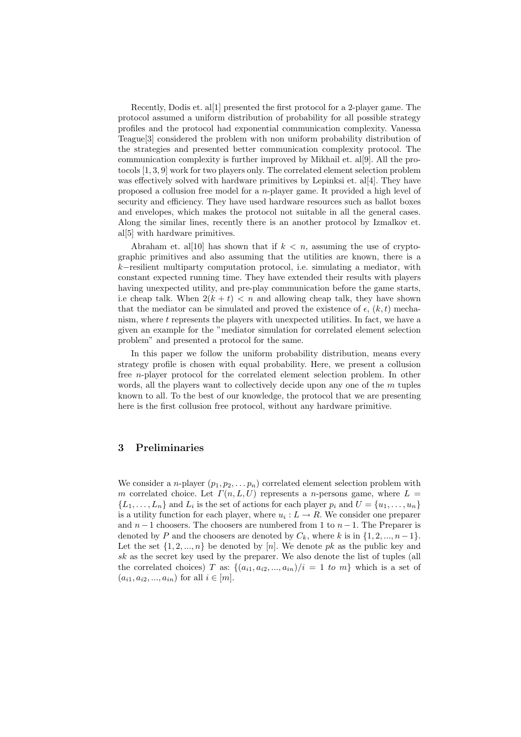Recently, Dodis et. al[1] presented the first protocol for a 2-player game. The protocol assumed a uniform distribution of probability for all possible strategy profiles and the protocol had exponential communication complexity. Vanessa Teague[3] considered the problem with non uniform probability distribution of the strategies and presented better communication complexity protocol. The communication complexity is further improved by Mikhail et. al[9]. All the protocols [1, 3, 9] work for two players only. The correlated element selection problem was effectively solved with hardware primitives by Lepinksi et. al[4]. They have proposed a collusion free model for a n-player game. It provided a high level of security and efficiency. They have used hardware resources such as ballot boxes and envelopes, which makes the protocol not suitable in all the general cases. Along the similar lines, recently there is an another protocol by Izmalkov et. al[5] with hardware primitives.

Abraham et. all [10] has shown that if  $k < n$ , assuming the use of cryptographic primitives and also assuming that the utilities are known, there is a k−resilient multiparty computation protocol, i.e. simulating a mediator, with constant expected running time. They have extended their results with players having unexpected utility, and pre-play communication before the game starts, i.e cheap talk. When  $2(k + t) < n$  and allowing cheap talk, they have shown that the mediator can be simulated and proved the existence of  $\epsilon$ ,  $(k, t)$  mechanism, where  $t$  represents the players with unexpected utilities. In fact, we have a given an example for the "mediator simulation for correlated element selection problem" and presented a protocol for the same.

In this paper we follow the uniform probability distribution, means every strategy profile is chosen with equal probability. Here, we present a collusion free n-player protocol for the correlated element selection problem. In other words, all the players want to collectively decide upon any one of the  $m$  tuples known to all. To the best of our knowledge, the protocol that we are presenting here is the first collusion free protocol, without any hardware primitive.

# 3 Preliminaries

We consider a *n*-player  $(p_1, p_2, \ldots, p_n)$  correlated element selection problem with m correlated choice. Let  $\Gamma(n, L, U)$  represents a n-persons game, where  $L =$  $\{L_1, \ldots, L_n\}$  and  $L_i$  is the set of actions for each player  $p_i$  and  $U = \{u_1, \ldots, u_n\}$ is a utility function for each player, where  $u_i: L \to R$ . We consider one preparer and  $n-1$  choosers. The choosers are numbered from 1 to  $n-1$ . The Preparer is denoted by P and the choosers are denoted by  $C_k$ , where k is in  $\{1, 2, ..., n-1\}$ . Let the set  $\{1, 2, ..., n\}$  be denoted by [n]. We denote pk as the public key and sk as the secret key used by the preparer. We also denote the list of tuples (all the correlated choices) T as:  $\{(a_{i1}, a_{i2}, ..., a_{in})/i = 1 \text{ to } m\}$  which is a set of  $(a_{i1}, a_{i2}, ..., a_{in})$  for all  $i \in [m]$ .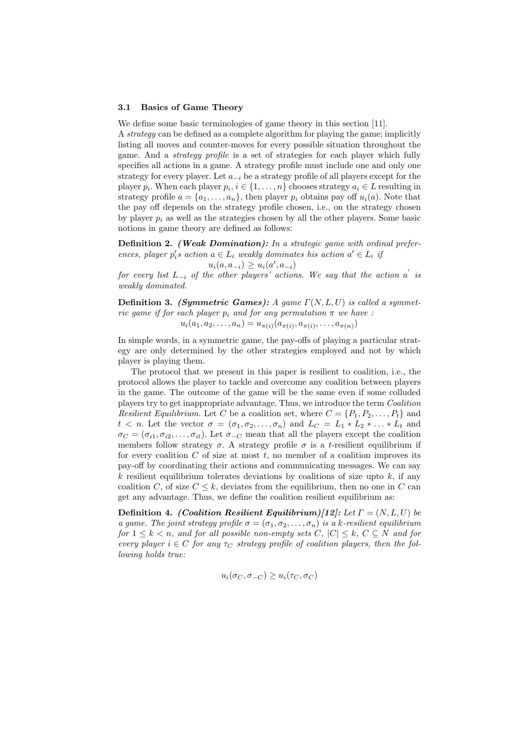#### 3.1 Basics of Game Theory

We define some basic terminologies of game theory in this section [11].

A strategy can be defined as a complete algorithm for playing the game; implicitly listing all moves and counter-moves for every possible situation throughout the game. And a strategy profile is a set of strategies for each player which fully specifies all actions in a game. A strategy profile must include one and only one strategy for every player. Let  $a_{-i}$  be a strategy profile of all players except for the player  $p_i$ . When each player  $p_i, i \in \{1, ..., n\}$  chooses strategy  $a_i \in L$  resulting in strategy profile  $a = \{a_1, \ldots, a_n\}$ , then player  $p_i$  obtains pay off  $u_i(a)$ . Note that the pay off depends on the strategy profile chosen, i.e., on the strategy chosen by player  $p_i$  as well as the strategies chosen by all the other players. Some basic notions in game theory are defined as follows:

Definition 2. (Weak Domination): In a strategic game with ordinal preferences, player  $p_i$ 's action  $a \in L_i$  weakly dominates his action  $a' \in L_i$  if

 $u_i(a, a_{-i}) \geq u_i(a', a_{-i})$ 

for every list  $L_{-i}$  of the other players' actions. We say that the action  $a^{'}$  is weakly dominated.

**Definition 3.** (Symmetric Games): A game  $\Gamma(N, L, U)$  is called a symmetric game if for each player  $p_i$  and for any permutation  $\pi$  we have :  $u_i(a_1, a_2, \ldots, a_n) = u_{\pi(i)}(a_{\pi(i)}, a_{\pi(i)}, \ldots, a_{\pi(n)})$ 

In simple words, in a symmetric game, the pay-offs of playing a particular strategy are only determined by the other strategies employed and not by which player is playing them.

The protocol that we present in this paper is resilient to coalition, i.e., the protocol allows the player to tackle and overcome any coalition between players in the game. The outcome of the game will be the same even if some colluded players try to get inappropriate advantage. Thus, we introduce the term Coalition Resilient Equilibrium. Let C be a coalition set, where  $C = \{P_1, P_2, \ldots, P_t\}$  and  $t \leq n$ . Let the vector  $\sigma = (\sigma_1, \sigma_2, \ldots, \sigma_n)$  and  $L_C = L_1 * L_2 * \ldots * L_t$  and  $\sigma_C = (\sigma_{i1}, \sigma_{i2}, \ldots, \sigma_{it})$ . Let  $\sigma_{-C}$  mean that all the players except the coalition members follow strategy  $\sigma$ . A strategy profile  $\sigma$  is a t-resilient equilibrium if for every coalition  $C$  of size at most  $t$ , no member of a coalition improves its pay-off by coordinating their actions and communicating messages. We can say k resilient equilibrium tolerates deviations by coalitions of size upto  $k$ , if any coalition C, of size  $C \leq k$ , deviates from the equilibrium, then no one in C can get any advantage. Thus, we define the coalition resilient equilibrium as:

Definition 4. (Coalition Resilient Equilibrium)[12]: Let  $\Gamma = (N, L, U)$  be a game. The joint strategy profile  $\sigma = (\sigma_1, \sigma_2, \ldots, \sigma_n)$  is a k-resilient equilibrium for  $1 \leq k \leq n$ , and for all possible non-empty sets C,  $|C| \leq k$ ,  $C \subseteq N$  and for every player  $i \in C$  for any  $\tau_C$  strategy profile of coalition players, then the following holds true:

$$
u_i(\sigma_C, \sigma_{-C}) \ge u_i(\tau_C, \sigma_C)
$$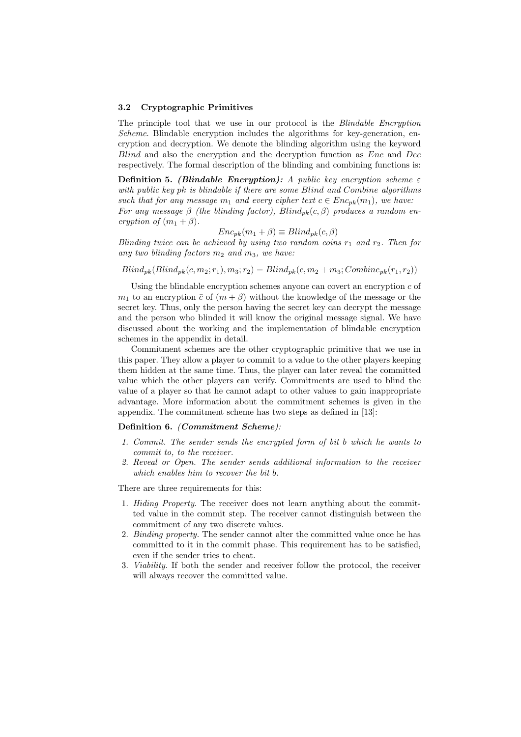#### 3.2 Cryptographic Primitives

The principle tool that we use in our protocol is the Blindable Encryption Scheme. Blindable encryption includes the algorithms for key-generation, encryption and decryption. We denote the blinding algorithm using the keyword Blind and also the encryption and the decryption function as Enc and Dec respectively. The formal description of the blinding and combining functions is:

**Definition 5.** (Blindable Encryption): A public key encryption scheme  $\varepsilon$ with public key pk is blindable if there are some Blind and Combine algorithms such that for any message  $m_1$  and every cipher text  $c \in Enc_{pk}(m_1)$ , we have: For any message  $\beta$  (the blinding factor),  $Blind_{pk}(c, \beta)$  produces a random encryption of  $(m_1 + \beta)$ .

$$
Enc_{pk}(m_1 + \beta) \equiv Blind_{pk}(c, \beta)
$$

Blinding twice can be achieved by using two random coins  $r_1$  and  $r_2$ . Then for any two blinding factors  $m_2$  and  $m_3$ , we have:

 $Blind_{pk}(Blind_{pk}(c, m_2; r_1), m_3; r_2) = Blind_{pk}(c, m_2 + m_3; Combine_{pk}(r_1, r_2))$ 

Using the blindable encryption schemes anyone can covert an encryption  $c$  of  $m_1$  to an encryption  $\bar{c}$  of  $(m + \beta)$  without the knowledge of the message or the secret key. Thus, only the person having the secret key can decrypt the message and the person who blinded it will know the original message signal. We have discussed about the working and the implementation of blindable encryption schemes in the appendix in detail.

Commitment schemes are the other cryptographic primitive that we use in this paper. They allow a player to commit to a value to the other players keeping them hidden at the same time. Thus, the player can later reveal the committed value which the other players can verify. Commitments are used to blind the value of a player so that he cannot adapt to other values to gain inappropriate advantage. More information about the commitment schemes is given in the appendix. The commitment scheme has two steps as defined in [13]:

### Definition 6. (Commitment Scheme):

- 1. Commit. The sender sends the encrypted form of bit b which he wants to commit to, to the receiver.
- 2. Reveal or Open. The sender sends additional information to the receiver which enables him to recover the bit b.

There are three requirements for this:

- 1. Hiding Property. The receiver does not learn anything about the committed value in the commit step. The receiver cannot distinguish between the commitment of any two discrete values.
- 2. Binding property. The sender cannot alter the committed value once he has committed to it in the commit phase. This requirement has to be satisfied, even if the sender tries to cheat.
- 3. Viability. If both the sender and receiver follow the protocol, the receiver will always recover the committed value.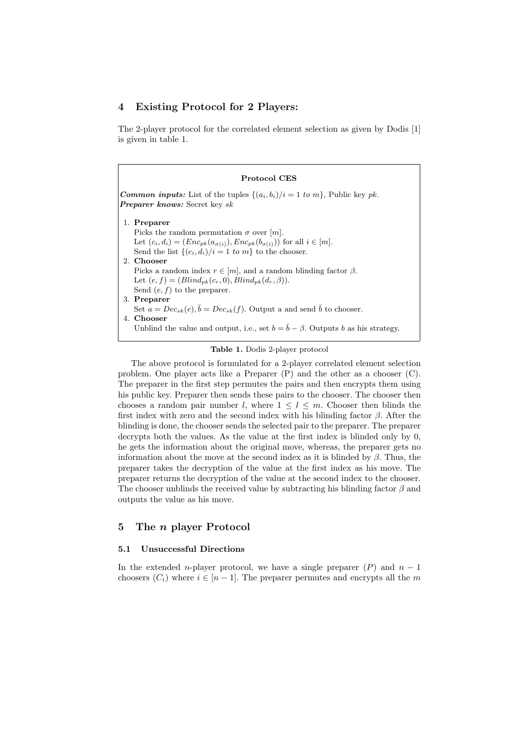# 4 Existing Protocol for 2 Players:

The 2-player protocol for the correlated element selection as given by Dodis [1] is given in table 1.

| <b>Common inputs:</b> List of the tuples $\{(a_i, b_i)/i = 1 \text{ to } m\}$ , Public key pk.<br><b>Preparer knows:</b> Secret key sk |                                                                                                  |  |  |
|----------------------------------------------------------------------------------------------------------------------------------------|--------------------------------------------------------------------------------------------------|--|--|
|                                                                                                                                        | 1. Preparer                                                                                      |  |  |
|                                                                                                                                        | Picks the random permutation $\sigma$ over $ m $ .                                               |  |  |
|                                                                                                                                        | Let $(c_i, d_i) = (Enc_{pk}(a_{\sigma(i)}), Enc_{pk}(b_{\sigma(i)}))$ for all $i \in [m]$ .      |  |  |
|                                                                                                                                        | Send the list $\{(c_i, d_i)/i = 1 \text{ to } m\}$ to the chooser.                               |  |  |
|                                                                                                                                        | 2. Chooser                                                                                       |  |  |
|                                                                                                                                        | Picks a random index $r \in [m]$ , and a random blinding factor $\beta$ .                        |  |  |
|                                                                                                                                        | Let $(e, f) = (Blind_{pk}(c_r, 0), Blind_{pk}(d_r, \beta)).$                                     |  |  |
|                                                                                                                                        | Send $(e, f)$ to the preparer.                                                                   |  |  |
|                                                                                                                                        | 3. Preparer                                                                                      |  |  |
|                                                                                                                                        | Set $a = Dec_{sk}(e), \overline{b} = Dec_{sk}(f)$ . Output a and send $\overline{b}$ to chooser. |  |  |
|                                                                                                                                        | 4. Chooser                                                                                       |  |  |
|                                                                                                                                        | Unblind the value and output, i.e., set $b = \bar{b} - \beta$ . Outputs b as his strategy.       |  |  |

The above protocol is formulated for a 2-player correlated element selection problem. One player acts like a Preparer (P) and the other as a chooser (C). The preparer in the first step permutes the pairs and then encrypts them using his public key. Preparer then sends these pairs to the chooser. The chooser then chooses a random pair number l, where  $1 \leq l \leq m$ . Chooser then blinds the first index with zero and the second index with his blinding factor  $\beta$ . After the blinding is done, the chooser sends the selected pair to the preparer. The preparer decrypts both the values. As the value at the first index is blinded only by 0, he gets the information about the original move, whereas, the preparer gets no information about the move at the second index as it is blinded by  $\beta$ . Thus, the preparer takes the decryption of the value at the first index as his move. The preparer returns the decryption of the value at the second index to the chooser. The chooser unblinds the received value by subtracting his blinding factor  $\beta$  and outputs the value as his move.

# 5 The n player Protocol

# 5.1 Unsuccessful Directions

In the extended *n*-player protocol, we have a single preparer  $(P)$  and  $n-1$ choosers  $(C_i)$  where  $i \in [n-1]$ . The preparer permutes and encrypts all the m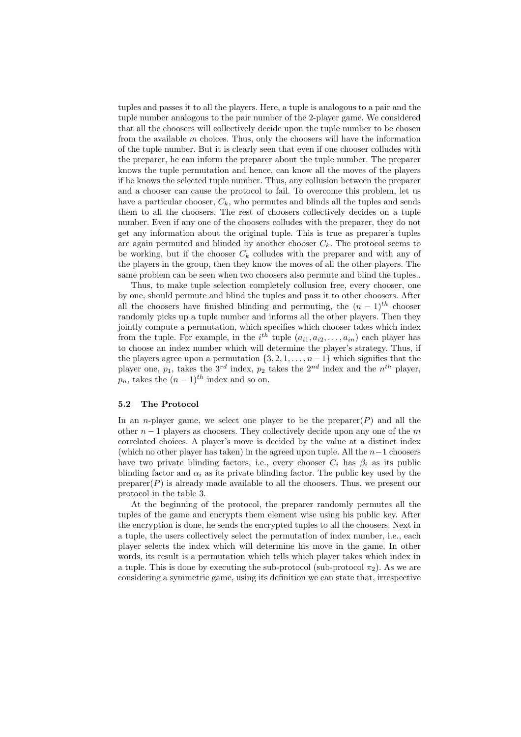tuples and passes it to all the players. Here, a tuple is analogous to a pair and the tuple number analogous to the pair number of the 2-player game. We considered that all the choosers will collectively decide upon the tuple number to be chosen from the available  $m$  choices. Thus, only the choosers will have the information of the tuple number. But it is clearly seen that even if one chooser colludes with the preparer, he can inform the preparer about the tuple number. The preparer knows the tuple permutation and hence, can know all the moves of the players if he knows the selected tuple number. Thus, any collusion between the preparer and a chooser can cause the protocol to fail. To overcome this problem, let us have a particular chooser,  $C_k$ , who permutes and blinds all the tuples and sends them to all the choosers. The rest of choosers collectively decides on a tuple number. Even if any one of the choosers colludes with the preparer, they do not get any information about the original tuple. This is true as preparer's tuples are again permuted and blinded by another chooser  $C_k$ . The protocol seems to be working, but if the chooser  $C_k$  colludes with the preparer and with any of the players in the group, then they know the moves of all the other players. The same problem can be seen when two choosers also permute and blind the tuples..

Thus, to make tuple selection completely collusion free, every chooser, one by one, should permute and blind the tuples and pass it to other choosers. After all the choosers have finished blinding and permuting, the  $(n-1)^{th}$  chooser randomly picks up a tuple number and informs all the other players. Then they jointly compute a permutation, which specifies which chooser takes which index from the tuple. For example, in the  $i^{th}$  tuple  $(a_{i1}, a_{i2},..., a_{in})$  each player has to choose an index number which will determine the player's strategy. Thus, if the players agree upon a permutation  $\{3, 2, 1, \ldots, n-1\}$  which signifies that the player one,  $p_1$ , takes the  $3^{rd}$  index,  $p_2$  takes the  $2^{nd}$  index and the  $n^{th}$  player,  $p_n$ , takes the  $(n-1)$ <sup>th</sup> index and so on.

#### 5.2 The Protocol

In an *n*-player game, we select one player to be the preparer $(P)$  and all the other  $n-1$  players as choosers. They collectively decide upon any one of the m correlated choices. A player's move is decided by the value at a distinct index (which no other player has taken) in the agreed upon tuple. All the  $n-1$  choosers have two private blinding factors, i.e., every chooser  $C_i$  has  $\beta_i$  as its public blinding factor and  $\alpha_i$  as its private blinding factor. The public key used by the  $prepace(P)$  is already made available to all the choosers. Thus, we present our protocol in the table 3.

At the beginning of the protocol, the preparer randomly permutes all the tuples of the game and encrypts them element wise using his public key. After the encryption is done, he sends the encrypted tuples to all the choosers. Next in a tuple, the users collectively select the permutation of index number, i.e., each player selects the index which will determine his move in the game. In other words, its result is a permutation which tells which player takes which index in a tuple. This is done by executing the sub-protocol (sub-protocol  $\pi_2$ ). As we are considering a symmetric game, using its definition we can state that, irrespective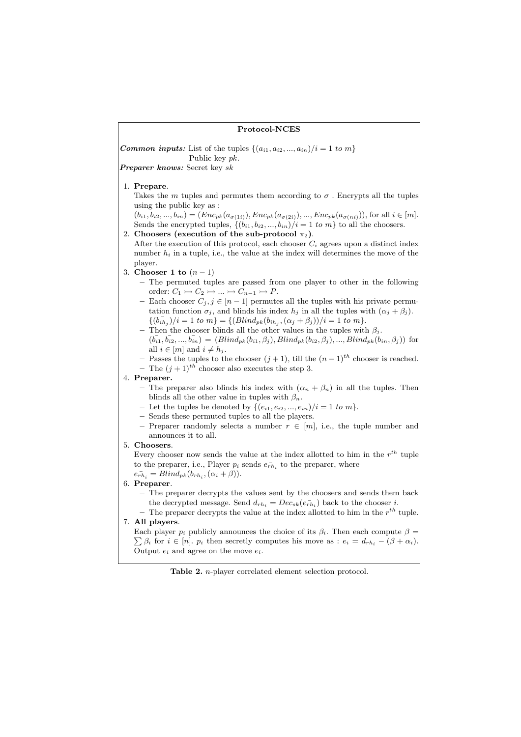### Protocol-NCES

**Common inputs:** List of the tuples  $\{(a_{i1}, a_{i2}, ..., a_{in})/i = 1 \text{ to } m\}$ Public key pk.

Preparer knows: Secret key sk

1. Prepare.

Takes the m tuples and permutes them according to  $\sigma$ . Encrypts all the tuples using the public key as :

 $(b_{i1}, b_{i2},..., b_{in}) = (Enc_{pk}(a_{\sigma(1i)}), Enc_{pk}(a_{\sigma(2i)}),..., Enc_{pk}(a_{\sigma(ni)})),$  for all  $i \in [m]$ . Sends the encrypted tuples,  $\{(b_{i1}, b_{i2}, ..., b_{in})/i = 1 \text{ to } m\}$  to all the choosers.

- 2. Choosers (execution of the sub-protocol  $\pi_2$ ). After the execution of this protocol, each chooser  $C_i$  agrees upon a distinct index number  $h_i$  in a tuple, i.e., the value at the index will determines the move of the player.
- 3. Chooser 1 to  $(n-1)$ 
	- The permuted tuples are passed from one player to other in the following order:  $C_1 \rightarrowtail C_2 \rightarrowtail \ldots \rightarrowtail C_{n-1} \rightarrowtail P$ .
	- Each chooser  $C_j$ ,  $j \in [n-1]$  permutes all the tuples with his private permutation function  $\sigma_j$ , and blinds his index  $h_j$  in all the tuples with  $(\alpha_j + \beta_j)$ .  $\{(\overline{b}_{ih_j})/i = 1 \text{ to } m\} = \{(\text{Blind}_{pk}(b_{ih_j}, (\alpha_j + \beta_j))/i = 1 \text{ to } m\}.$
	- Then the chooser blinds all the other values in the tuples with  $\beta_j$ .
	- $(\bar{b}_{i1}, \bar{b}_{i2}, ..., \bar{b}_{in}) = (Blind_{pk}(b_{i1}, \beta_j), Blind_{pk}(b_{i2}, \beta_j), ..., Blind_{pk}(b_{in}, \beta_j))$  for all  $i \in [m]$  and  $i \neq h_i$ .
	- Passes the tuples to the chooser  $(j + 1)$ , till the  $(n 1)$ <sup>th</sup> chooser is reached.

– The  $(i + 1)^{th}$  chooser also executes the step 3.

4. Preparer.

- The preparer also blinds his index with  $(\alpha_n + \beta_n)$  in all the tuples. Then blinds all the other value in tuples with  $\beta_n$ .
- Let the tuples be denoted by  $\{(e_{i1}, e_{i2}, ..., e_{in})/i = 1 \text{ to } m\}.$
- Sends these permuted tuples to all the players.
- Preparer randomly selects a number  $r \in [m]$ , i.e., the tuple number and announces it to all.

# 5. Choosers.

Every chooser now sends the value at the index allotted to him in the  $r^{th}$  tuple to the preparer, i.e., Player  $p_i$  sends  $e_{rh_i}$  to the preparer, where  $e_{rh_i}^- = Blind_{pk}(b_{rh_i}, (\alpha_i + \beta)).$ 

### 6. Preparer.

- The preparer decrypts the values sent by the choosers and sends them back the decrypted message. Send  $d_{rh_i} = Dec_{sk}(e_{rh_i})$  back to the chooser *i*.
- The preparer decrypts the value at the index allotted to him in the  $r^{th}$  tuple. 7. All players.

Each player  $p_i$  publicly announces the choice of its  $\beta_i$ . Then each compute  $\beta = \sum_{i=1}^n \beta_i$  $\sum \beta_i$  for  $i \in [n]$ .  $p_i$  then secretly computes his move as :  $e_i = d_{rh_i} - (\beta + \alpha_i)$ . Output  $e_i$  and agree on the move  $e_i$ .

Table 2. n-player correlated element selection protocol.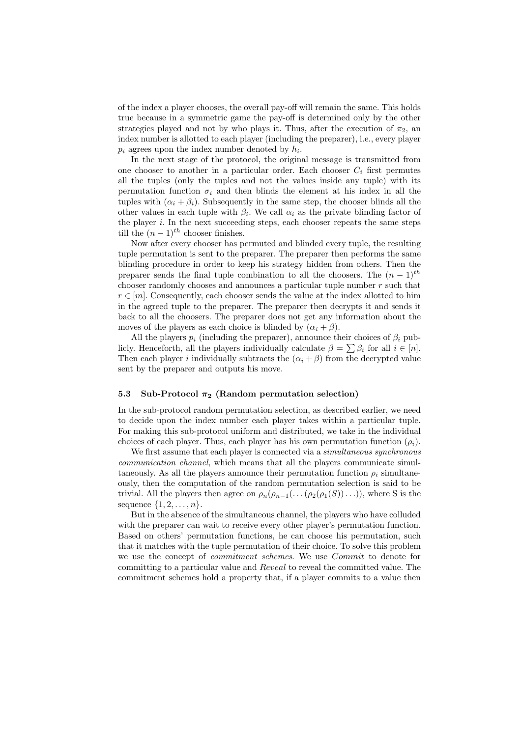of the index a player chooses, the overall pay-off will remain the same. This holds true because in a symmetric game the pay-off is determined only by the other strategies played and not by who plays it. Thus, after the execution of  $\pi_2$ , an index number is allotted to each player (including the preparer), i.e., every player  $p_i$  agrees upon the index number denoted by  $h_i$ .

In the next stage of the protocol, the original message is transmitted from one chooser to another in a particular order. Each chooser  $C_i$  first permutes all the tuples (only the tuples and not the values inside any tuple) with its permutation function  $\sigma_i$  and then blinds the element at his index in all the tuples with  $(\alpha_i + \beta_i)$ . Subsequently in the same step, the chooser blinds all the other values in each tuple with  $\beta_i$ . We call  $\alpha_i$  as the private blinding factor of the player  $i$ . In the next succeeding steps, each chooser repeats the same steps till the  $(n-1)^{th}$  chooser finishes.

Now after every chooser has permuted and blinded every tuple, the resulting tuple permutation is sent to the preparer. The preparer then performs the same blinding procedure in order to keep his strategy hidden from others. Then the preparer sends the final tuple combination to all the choosers. The  $(n-1)$ <sup>th</sup> chooser randomly chooses and announces a particular tuple number  $r$  such that  $r \in [m]$ . Consequently, each chooser sends the value at the index allotted to him in the agreed tuple to the preparer. The preparer then decrypts it and sends it back to all the choosers. The preparer does not get any information about the moves of the players as each choice is blinded by  $(\alpha_i + \beta)$ .

All the players  $p_i$  (including the preparer), announce their choices of  $\beta_i$  pub-All the players  $p_i$  (including the preparer), announce their choices of  $p_i$  publicly. Henceforth, all the players individually calculate  $\beta = \sum \beta_i$  for all  $i \in [n]$ . Then each player *i* individually subtracts the  $(\alpha_i + \beta)$  from the decrypted value sent by the preparer and outputs his move.

#### 5.3 Sub-Protocol  $\pi_2$  (Random permutation selection)

In the sub-protocol random permutation selection, as described earlier, we need to decide upon the index number each player takes within a particular tuple. For making this sub-protocol uniform and distributed, we take in the individual choices of each player. Thus, each player has his own permutation function  $(\rho_i)$ .

We first assume that each player is connected via a *simultaneous synchronous* communication channel, which means that all the players communicate simultaneously. As all the players announce their permutation function  $\rho_i$  simultaneously, then the computation of the random permutation selection is said to be trivial. All the players then agree on  $\rho_n(\rho_{n-1}(\ldots(\rho_2(\rho_1(S))\ldots))$ , where S is the sequence  $\{1, 2, \ldots, n\}.$ 

But in the absence of the simultaneous channel, the players who have colluded with the preparer can wait to receive every other player's permutation function. Based on others' permutation functions, he can choose his permutation, such that it matches with the tuple permutation of their choice. To solve this problem we use the concept of commitment schemes. We use Commit to denote for committing to a particular value and Reveal to reveal the committed value. The commitment schemes hold a property that, if a player commits to a value then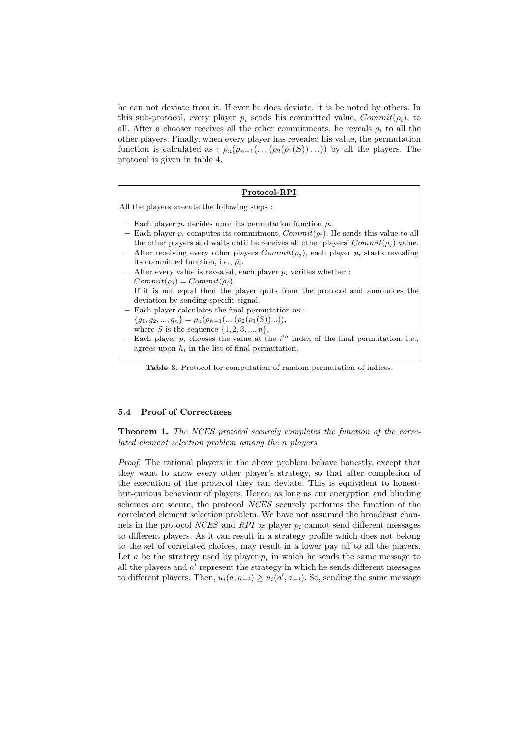he can not deviate from it. If ever he does deviate, it is be noted by others. In this sub-protocol, every player  $p_i$  sends his committed value,  $Commit(\rho_i)$ , to all. After a chooser receives all the other commitments, he reveals  $\rho_i$  to all the other players. Finally, when every player has revealed his value, the permutation function is calculated as :  $\rho_n(\rho_{n-1}(\ldots(\rho_2(\rho_1(S))\ldots))$  by all the players. The protocol is given in table 4.

#### Protocol-RPI

All the players execute the following steps :

- Each player  $p_i$  decides upon its permutation function  $\rho_i$ .
- Each player  $p_i$  computes its commitment,  $Commit(p_i)$ . He sends this value to all the other players and waits until he receives all other players'  $Commit(\rho_i)$  value. – After receiving every other players  $Commit(\rho_i)$ , each player  $p_i$  starts revealing
- its committed function, i.e.,  $\bar{\rho}_i$ .
- After every value is revealed, each player  $p_i$  verifies whether :  $Commit(\rho_i) = Commit(\bar{\rho_i}).$ If it is not equal then the player quits from the protocol and announces the deviation by sending specific signal.
- Each player calculates the final permutation as :
- ${g_1, g_2, ..., g_n} = \rho_n(\rho_{n-1}(...(\rho_2(\rho_1(S))...)),$
- where  $S$  is the sequence  $\{1, 2, 3, ..., n\}.$
- Each player  $p_i$  chooses the value at the  $i^{th}$  index of the final permutation, i.e., agrees upon  $h_i$  in the list of final permutation.

Table 3. Protocol for computation of random permutation of indices.

### 5.4 Proof of Correctness

Theorem 1. The NCES protocol securely completes the function of the correlated element selection problem among the n players.

Proof. The rational players in the above problem behave honestly, except that they want to know every other player's strategy, so that after completion of the execution of the protocol they can deviate. This is equivalent to honestbut-curious behaviour of players. Hence, as long as our encryption and blinding schemes are secure, the protocol NCES securely performs the function of the correlated element selection problem. We have not assumed the broadcast channels in the protocol *NCES* and *RPI* as player  $p_i$  cannot send different messages to different players. As it can result in a strategy profile which does not belong to the set of correlated choices, may result in a lower pay off to all the players. Let  $a$  be the strategy used by player  $p_i$  in which he sends the same message to all the players and  $a'$  represent the strategy in which he sends different messages to different players. Then,  $u_i(a, a_{-i}) \ge u_i(a', a_{-i})$ . So, sending the same message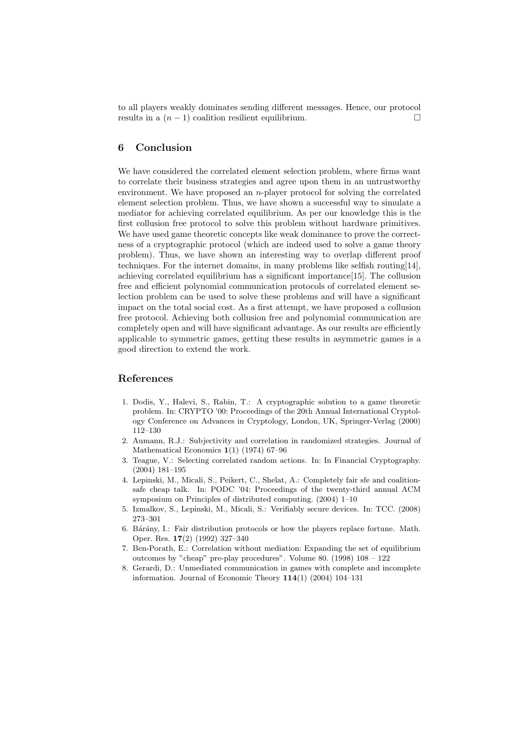to all players weakly dominates sending different messages. Hence, our protocol results in a  $(n-1)$  coalition resilient equilibrium.

# 6 Conclusion

We have considered the correlated element selection problem, where firms want to correlate their business strategies and agree upon them in an untrustworthy environment. We have proposed an n-player protocol for solving the correlated element selection problem. Thus, we have shown a successful way to simulate a mediator for achieving correlated equilibrium. As per our knowledge this is the first collusion free protocol to solve this problem without hardware primitives. We have used game theoretic concepts like weak dominance to prove the correctness of a cryptographic protocol (which are indeed used to solve a game theory problem). Thus, we have shown an interesting way to overlap different proof techniques. For the internet domains, in many problems like selfish routing[14], achieving correlated equilibrium has a significant importance[15]. The collusion free and efficient polynomial communication protocols of correlated element selection problem can be used to solve these problems and will have a significant impact on the total social cost. As a first attempt, we have proposed a collusion free protocol. Achieving both collusion free and polynomial communication are completely open and will have significant advantage. As our results are efficiently applicable to symmetric games, getting these results in asymmetric games is a good direction to extend the work.

# References

- 1. Dodis, Y., Halevi, S., Rabin, T.: A cryptographic solution to a game theoretic problem. In: CRYPTO '00: Proceedings of the 20th Annual International Cryptology Conference on Advances in Cryptology, London, UK, Springer-Verlag (2000) 112–130
- 2. Aumann, R.J.: Subjectivity and correlation in randomized strategies. Journal of Mathematical Economics 1(1) (1974) 67–96
- 3. Teague, V.: Selecting correlated random actions. In: In Financial Cryptography. (2004) 181–195
- 4. Lepinski, M., Micali, S., Peikert, C., Shelat, A.: Completely fair sfe and coalitionsafe cheap talk. In: PODC '04: Proceedings of the twenty-third annual ACM symposium on Principles of distributed computing. (2004) 1–10
- 5. Izmalkov, S., Lepinski, M., Micali, S.: Verifiably secure devices. In: TCC. (2008) 273–301
- 6. Bárány, I.: Fair distribution protocols or how the players replace fortune. Math. Oper. Res. 17(2) (1992) 327–340
- 7. Ben-Porath, E.: Correlation without mediation: Expanding the set of equilibrium outcomes by "cheap" pre-play procedures". Volume 80. (1998) 108 – 122
- 8. Gerardi, D.: Unmediated communication in games with complete and incomplete information. Journal of Economic Theory  $114(1)$  (2004) 104–131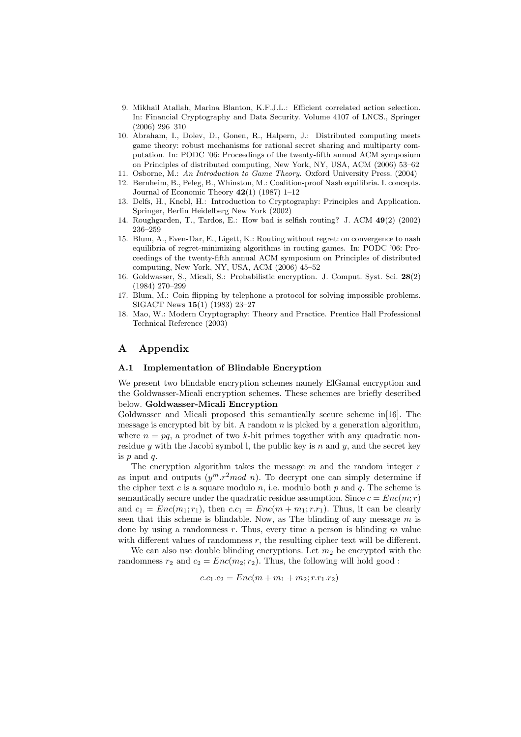- 9. Mikhail Atallah, Marina Blanton, K.F.J.L.: Efficient correlated action selection. In: Financial Cryptography and Data Security. Volume 4107 of LNCS., Springer (2006) 296–310
- 10. Abraham, I., Dolev, D., Gonen, R., Halpern, J.: Distributed computing meets game theory: robust mechanisms for rational secret sharing and multiparty computation. In: PODC '06: Proceedings of the twenty-fifth annual ACM symposium on Principles of distributed computing, New York, NY, USA, ACM (2006) 53–62
- 11. Osborne, M.: An Introduction to Game Theory. Oxford University Press. (2004)
- 12. Bernheim, B., Peleg, B., Whinston, M.: Coalition-proof Nash equilibria. I. concepts. Journal of Economic Theory  $42(1)$  (1987) 1–12
- 13. Delfs, H., Knebl, H.: Introduction to Cryptography: Principles and Application. Springer, Berlin Heidelberg New York (2002)
- 14. Roughgarden, T., Tardos, E.: How bad is selfish routing? J. ACM 49(2) (2002) 236–259
- 15. Blum, A., Even-Dar, E., Ligett, K.: Routing without regret: on convergence to nash equilibria of regret-minimizing algorithms in routing games. In: PODC '06: Proceedings of the twenty-fifth annual ACM symposium on Principles of distributed computing, New York, NY, USA, ACM (2006) 45–52
- 16. Goldwasser, S., Micali, S.: Probabilistic encryption. J. Comput. Syst. Sci. 28(2) (1984) 270–299
- 17. Blum, M.: Coin flipping by telephone a protocol for solving impossible problems. SIGACT News 15(1) (1983) 23–27
- 18. Mao, W.: Modern Cryptography: Theory and Practice. Prentice Hall Professional Technical Reference (2003)

# A Appendix

### A.1 Implementation of Blindable Encryption

We present two blindable encryption schemes namely ElGamal encryption and the Goldwasser-Micali encryption schemes. These schemes are briefly described below. Goldwasser-Micali Encryption

Goldwasser and Micali proposed this semantically secure scheme in[16]. The message is encrypted bit by bit. A random  $n$  is picked by a generation algorithm, where  $n = pq$ , a product of two k-bit primes together with any quadratic nonresidue y with the Jacobi symbol l, the public key is n and y, and the secret key is  $p$  and  $q$ .

The encryption algorithm takes the message  $m$  and the random integer  $r$ as input and outputs  $(y^m.r^2mod\ n)$ . To decrypt one can simply determine if the cipher text c is a square modulo  $n$ , i.e. modulo both  $p$  and  $q$ . The scheme is semantically secure under the quadratic residue assumption. Since  $c = Enc(m; r)$ and  $c_1 = Enc(m_1; r_1)$ , then  $c.c_1 = Enc(m + m_1; r.r_1)$ . Thus, it can be clearly seen that this scheme is blindable. Now, as The blinding of any message  $m$  is done by using a randomness r. Thus, every time a person is blinding  $m$  value with different values of randomness  $r$ , the resulting cipher text will be different.

We can also use double blinding encryptions. Let  $m_2$  be encrypted with the randomness  $r_2$  and  $c_2 = Enc(m_2; r_2)$ . Thus, the following will hold good:

$$
c.c_1.c_2 = Enc(m + m_1 + m_2; r.r_1.r_2)
$$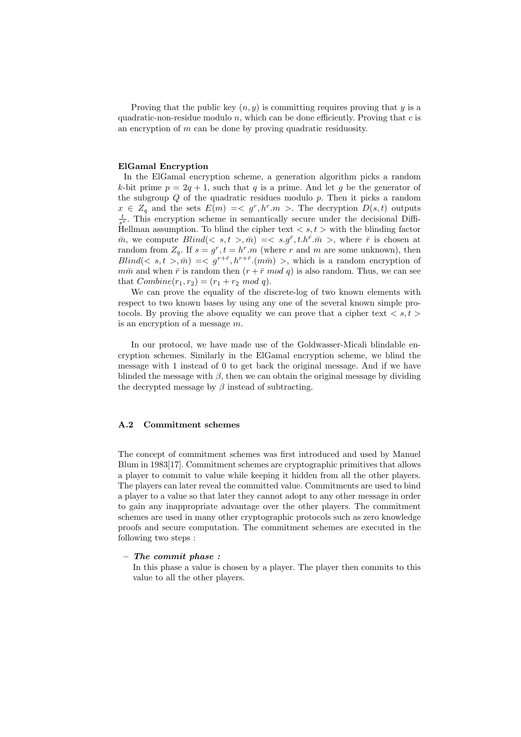Proving that the public key  $(n, y)$  is committing requires proving that y is a quadratic-non-residue modulo n, which can be done efficiently. Proving that c is an encryption of m can be done by proving quadratic residuosity.

### ElGamal Encryption

In the ElGamal encryption scheme, a generation algorithm picks a random k-bit prime  $p = 2q + 1$ , such that q is a prime. And let q be the generator of the subgroup  $Q$  of the quadratic residues modulo  $p$ . Then it picks a random  $x \in Z_q$  and the sets  $E(m) \leq \zeta g^r, h^r m >$ . The decryption  $D(s,t)$  outputs  $\frac{t}{s^x}$ . This encryption scheme in semantically secure under the decisional Diffi-Hellman assumption. To blind the cipher text  $\langle s, t \rangle$  with the blinding factor  $\bar{m}$ , we compute  $Blind(< s,t > \bar{m}) = < s.g^{\bar{r}}, t.h^{\bar{r}} \cdot \bar{m} >$ , where  $\bar{r}$  is chosen at random from  $Z_q$ . If  $s = g^r$ ,  $t = h^r \cdot m$  (where r and m are some unknown), then  $Blind(< s,t > \overline{m}) =$ , which is a random encryption of  $m\bar{m}$  and when  $\bar{r}$  is random then  $(r + \bar{r} \mod q)$  is also random. Thus, we can see that  $Combine(r_1, r_2) = (r_1 + r_2 \mod q).$ 

We can prove the equality of the discrete-log of two known elements with respect to two known bases by using any one of the several known simple protocols. By proving the above equality we can prove that a cipher text  $\langle s, t \rangle$ is an encryption of a message  $m$ .

In our protocol, we have made use of the Goldwasser-Micali blindable encryption schemes. Similarly in the ElGamal encryption scheme, we blind the message with 1 instead of 0 to get back the original message. And if we have blinded the message with  $\beta$ , then we can obtain the original message by dividing the decrypted message by  $\beta$  instead of subtracting.

# A.2 Commitment schemes

The concept of commitment schemes was first introduced and used by Manuel Blum in 1983[17]. Commitment schemes are cryptographic primitives that allows a player to commit to value while keeping it hidden from all the other players. The players can later reveal the committed value. Commitments are used to bind a player to a value so that later they cannot adopt to any other message in order to gain any inappropriate advantage over the other players. The commitment schemes are used in many other cryptographic protocols such as zero knowledge proofs and secure computation. The commitment schemes are executed in the following two steps :

### – The commit phase :

In this phase a value is chosen by a player. The player then commits to this value to all the other players.